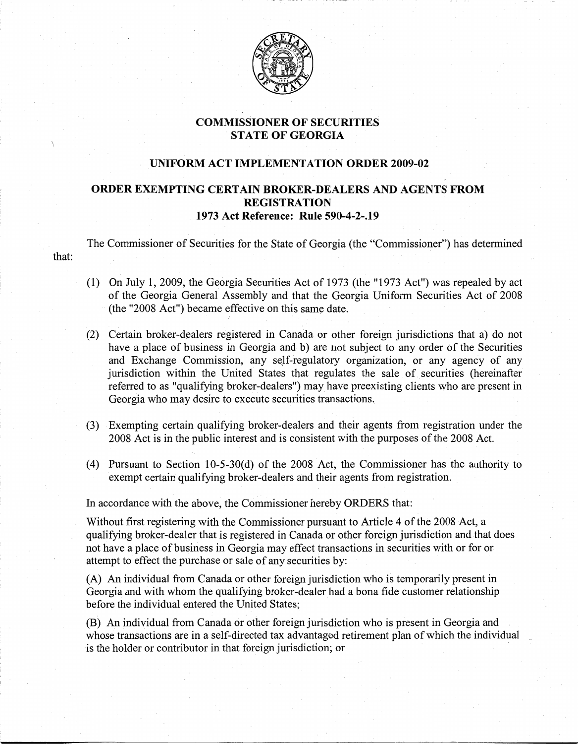

## COMMISSIONER OF SECURITIES STATE OF GEORGIA

## UNIFORM ACT IMPLEMENTATION ORDER 2009-02

## ORDER EXEMPTING CERTAIN BROKER-DEALERS AND AGENTS FROM REGISTRATION 1973 Act Reference: Rule 590-4-2-.19

The Commissioner of Securities for the State of Georgia (the "Commissioner") has determined

- (1) On July 1, 2009, the Georgia Securities Act of 1973 (the "1973 Act") was repealed by act of the Georgia General Assembly and that the Georgia Uniform Securities Act of 2008 (the "2008 Act") became effective on this same date.
- (2) Certain broker-dealers registered in Canada or other foreign jurisdictions that a) do not have a place of business in Georgia and b) are not subject to any order of the Securities and Exchange Commission, any self-regulatory organization, or any agency of any jurisdiction within the United States that regulates the sale of securities (hereinafter referred to as "qualifying broker-dealers") may have preexisting clients who are present in Georgia who may desire to execute securities transactions.
- (3) Exempting certain qualifying broker-dealers and their agents from registration under the 2008 Act is in the public interest and is consistent with the purposes of the 2008 Act.
- (4) Pursuant to Section 10-5-30(d) of the 2008 Act, the Commissioner has the authority to exempt certain qualifying broker-dealers and their agents from registration.

In accordance with the above, the Commissioner hereby ORDERS that:

*r* 

that:

Without first registering with the Commissioner pursuant to Article 4 of the 2008 Act, a qualifying broker-dealer that is registered in Canada or other foreign jurisdiction and that does not have a place of business in Georgia may effect transactions in securities with or for or attempt to effect the purchase or sale of any securities by:

(A) An individual from Canada or other foreign jurisdiction who is temporarily present in Georgia and with whom the qualifying broker-dealer had a bona fide customer relationship before the individual entered the United States;

(B) An individual from Canada or other foreign jurisdiction who is present in Georgia and whose transactions are in a self-directed tax advantaged retirement plan of which the individual is the holder or contributor in that foreign jurisdiction; or